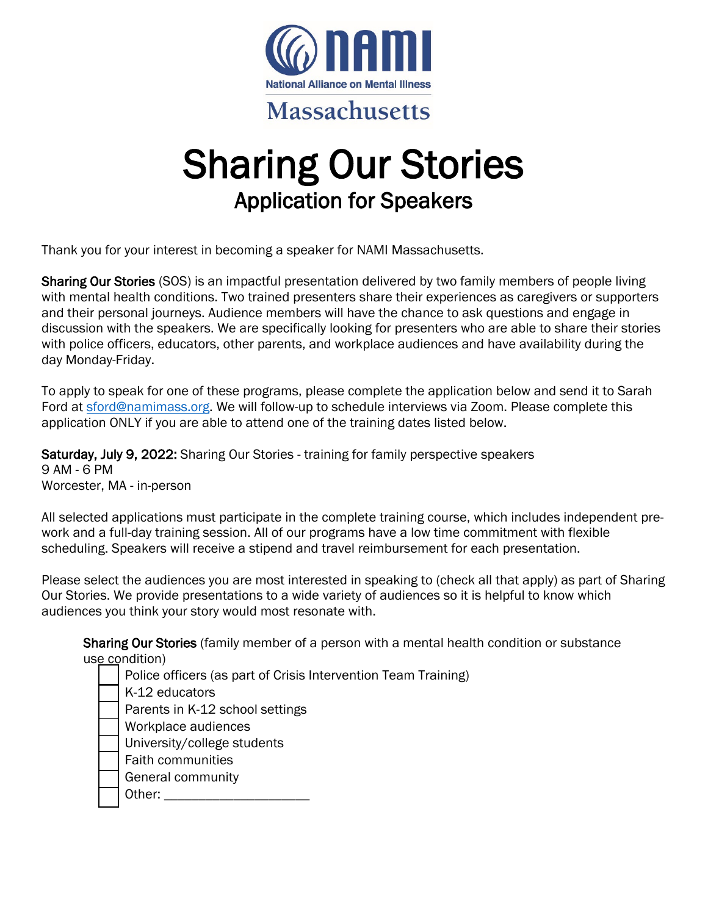

## $\overline{a}$ ł

## **Sharing Our Stories**<br>Application for Speakers

Thank you for your interest in becoming a speaker for NAMI Massachusetts.

Sharing Our Stories (SOS) is an impactful presentation delivered by two family members of people living with mental health conditions. Two trained presenters share their experiences as caregivers or supporters and their personal journeys. Audience members will have the chance to ask questions and engage in discussion with the speakers. We are specifically looking for presenters who are able to share their stories with police officers, educators, other parents, and workplace audiences and have availability during the day Monday-Friday.

To apply to speak for one of these programs, please complete the application below and send it to Sarah Ford at [sford@namimass.org.](mailto:sford@namimass.org) We will follow-up to schedule interviews via Zoom. Please complete this application ONLY if you are able to attend one of the training dates listed below.

Saturday, July 9, 2022: Sharing Our Stories - training for family perspective speakers 9 AM - 6 PM Worcester, MA - in-person

All selected applications must participate in the complete training course, which includes independent prework and a full-day training session. All of our programs have a low time commitment with flexible scheduling. Speakers will receive a stipend and travel reimbursement for each presentation.

Please select the audiences you are most interested in speaking to (check all that apply) as part of Sharing Our Stories. We provide presentations to a wide variety of audiences so it is helpful to know which audiences you think your story would most resonate with.

Sharing Our Stories (family member of a person with a mental health condition or substance use condition)

- Police officers (as part of Crisis Intervention Team Training)
- K-12 educators
- Parents in K-12 school settings
- Workplace audiences
- University/college students
- Faith communities
- General community
- Other:  $\frac{1}{\sqrt{1-\frac{1}{2}}}$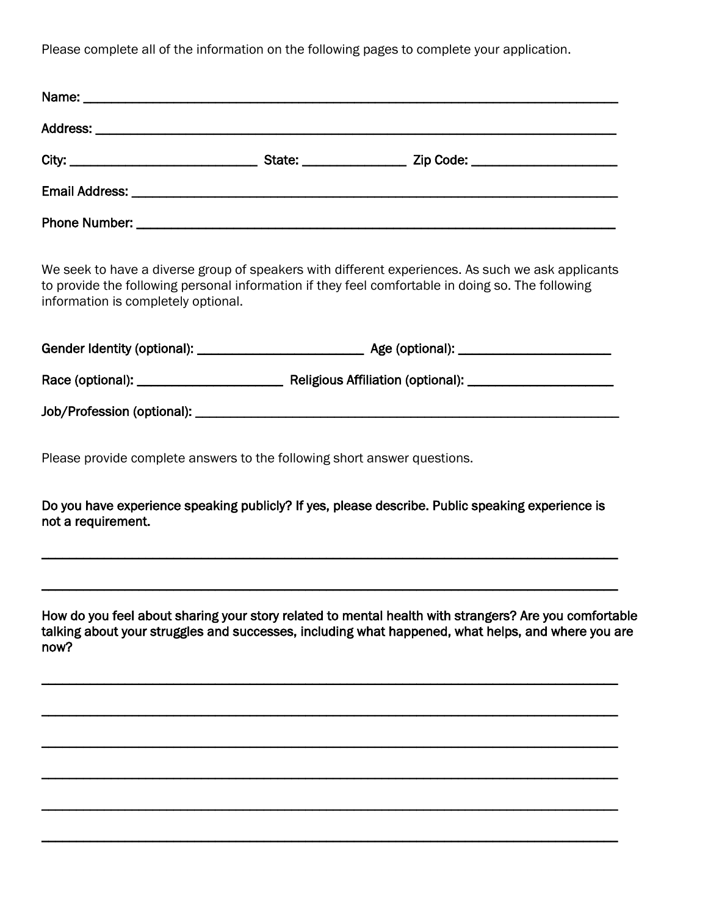Please complete all of the information on the following pages to complete your application.

| State: _________________ | Zip Code: ________________________ |  |
|--------------------------|------------------------------------|--|
|                          |                                    |  |
|                          |                                    |  |

We seek to have a diverse group of speakers with different experiences. As such we ask applicants to provide the following personal information if they feel comfortable in doing so. The following information is completely optional.

| Race (optional): Name and Solid Race (optional): |  |
|--------------------------------------------------|--|
| Job/Profession (optional):                       |  |

Please provide complete answers to the following short answer questions.

Do you have experience speaking publicly? If yes, please describe. Public speaking experience is not a requirement.

\_\_\_\_\_\_\_\_\_\_\_\_\_\_\_\_\_\_\_\_\_\_\_\_\_\_\_\_\_\_\_\_\_\_\_\_\_\_\_\_\_\_\_\_\_\_\_\_\_\_\_\_\_\_\_\_\_\_\_\_\_\_\_\_\_\_\_\_\_\_\_\_\_\_\_\_\_\_\_\_\_\_\_

\_\_\_\_\_\_\_\_\_\_\_\_\_\_\_\_\_\_\_\_\_\_\_\_\_\_\_\_\_\_\_\_\_\_\_\_\_\_\_\_\_\_\_\_\_\_\_\_\_\_\_\_\_\_\_\_\_\_\_\_\_\_\_\_\_\_\_\_\_\_\_\_\_\_\_\_\_\_\_\_\_\_\_

How do you feel about sharing your story related to mental health with strangers? Are you comfortable talking about your struggles and successes, including what happened, what helps, and where you are now?

\_\_\_\_\_\_\_\_\_\_\_\_\_\_\_\_\_\_\_\_\_\_\_\_\_\_\_\_\_\_\_\_\_\_\_\_\_\_\_\_\_\_\_\_\_\_\_\_\_\_\_\_\_\_\_\_\_\_\_\_\_\_\_\_\_\_\_\_\_\_\_\_\_\_\_\_\_\_\_\_\_\_\_

\_\_\_\_\_\_\_\_\_\_\_\_\_\_\_\_\_\_\_\_\_\_\_\_\_\_\_\_\_\_\_\_\_\_\_\_\_\_\_\_\_\_\_\_\_\_\_\_\_\_\_\_\_\_\_\_\_\_\_\_\_\_\_\_\_\_\_\_\_\_\_\_\_\_\_\_\_\_\_\_\_\_\_

\_\_\_\_\_\_\_\_\_\_\_\_\_\_\_\_\_\_\_\_\_\_\_\_\_\_\_\_\_\_\_\_\_\_\_\_\_\_\_\_\_\_\_\_\_\_\_\_\_\_\_\_\_\_\_\_\_\_\_\_\_\_\_\_\_\_\_\_\_\_\_\_\_\_\_\_\_\_\_\_\_\_\_

\_\_\_\_\_\_\_\_\_\_\_\_\_\_\_\_\_\_\_\_\_\_\_\_\_\_\_\_\_\_\_\_\_\_\_\_\_\_\_\_\_\_\_\_\_\_\_\_\_\_\_\_\_\_\_\_\_\_\_\_\_\_\_\_\_\_\_\_\_\_\_\_\_\_\_\_\_\_\_\_\_\_\_

\_\_\_\_\_\_\_\_\_\_\_\_\_\_\_\_\_\_\_\_\_\_\_\_\_\_\_\_\_\_\_\_\_\_\_\_\_\_\_\_\_\_\_\_\_\_\_\_\_\_\_\_\_\_\_\_\_\_\_\_\_\_\_\_\_\_\_\_\_\_\_\_\_\_\_\_\_\_\_\_\_\_\_

\_\_\_\_\_\_\_\_\_\_\_\_\_\_\_\_\_\_\_\_\_\_\_\_\_\_\_\_\_\_\_\_\_\_\_\_\_\_\_\_\_\_\_\_\_\_\_\_\_\_\_\_\_\_\_\_\_\_\_\_\_\_\_\_\_\_\_\_\_\_\_\_\_\_\_\_\_\_\_\_\_\_\_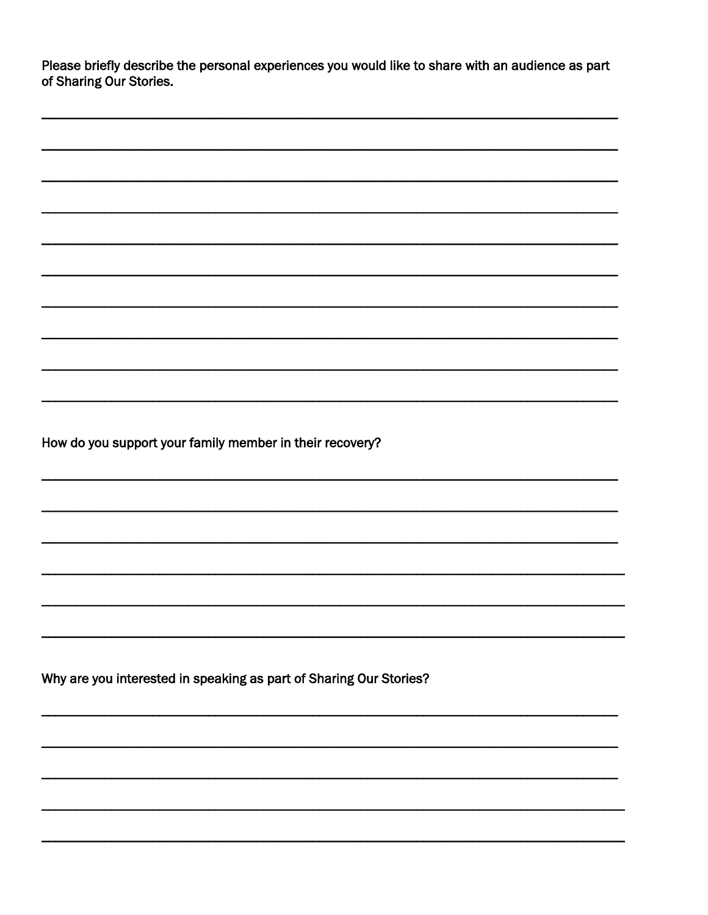Please briefly describe the personal experiences you would like to share with an audience as part of Sharing Our Stories.

| How do you support your family member in their recovery? |  |
|----------------------------------------------------------|--|
|                                                          |  |
|                                                          |  |
|                                                          |  |
|                                                          |  |
|                                                          |  |
|                                                          |  |

Why are you interested in speaking as part of Sharing Our Stories?